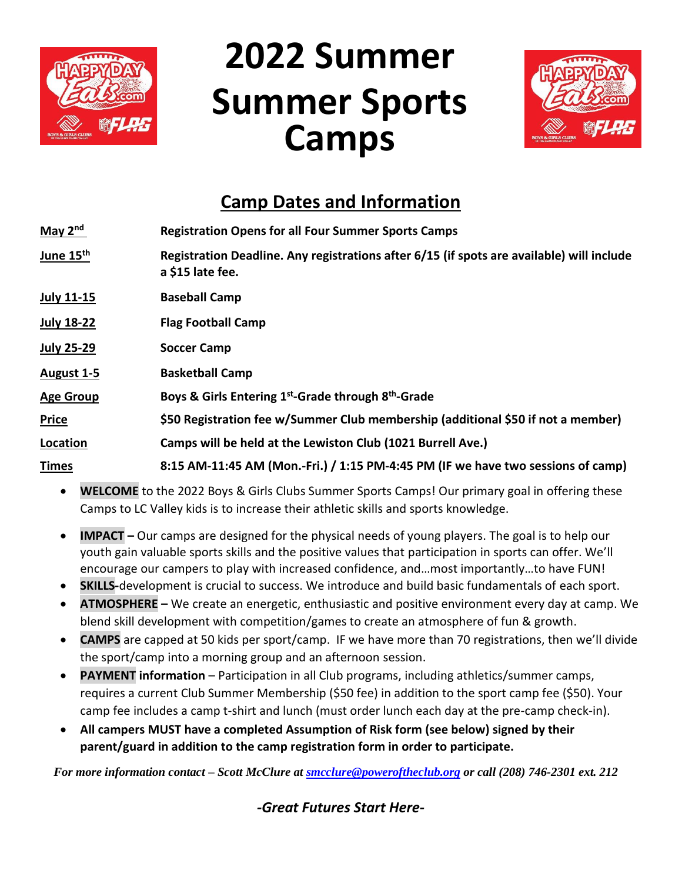

# **2022 Summer Summer Sports Camps**



## **Camp Dates and Information**

| May $2nd$             | <b>Registration Opens for all Four Summer Sports Camps</b>                                                    |
|-----------------------|---------------------------------------------------------------------------------------------------------------|
| June 15 <sup>th</sup> | Registration Deadline. Any registrations after 6/15 (if spots are available) will include<br>a \$15 late fee. |
| <b>July 11-15</b>     | <b>Baseball Camp</b>                                                                                          |
| <b>July 18-22</b>     | <b>Flag Football Camp</b>                                                                                     |
| <b>July 25-29</b>     | <b>Soccer Camp</b>                                                                                            |
| August 1-5            | <b>Basketball Camp</b>                                                                                        |
| <b>Age Group</b>      | Boys & Girls Entering 1 <sup>st</sup> -Grade through 8 <sup>th</sup> -Grade                                   |
| <b>Price</b>          | \$50 Registration fee w/Summer Club membership (additional \$50 if not a member)                              |
| Location              | Camps will be held at the Lewiston Club (1021 Burrell Ave.)                                                   |
| <b>Times</b>          | 8:15 AM-11:45 AM (Mon.-Fri.) / 1:15 PM-4:45 PM (IF we have two sessions of camp)                              |

- **WELCOME** to the 2022 Boys & Girls Clubs Summer Sports Camps! Our primary goal in offering these Camps to LC Valley kids is to increase their athletic skills and sports knowledge.
- **IMPACT –** Our camps are designed for the physical needs of young players. The goal is to help our youth gain valuable sports skills and the positive values that participation in sports can offer. We'll encourage our campers to play with increased confidence, and…most importantly…to have FUN!
- **SKILLS-development is crucial to success. We introduce and build basic fundamentals of each sport.**
- **ATMOSPHERE –** We create an energetic, enthusiastic and positive environment every day at camp. We blend skill development with competition/games to create an atmosphere of fun & growth.
- **CAMPS** are capped at 50 kids per sport/camp. IF we have more than 70 registrations, then we'll divide the sport/camp into a morning group and an afternoon session.
- **PAYMENT information**  Participation in all Club programs, including athletics/summer camps, requires a current Club Summer Membership (\$50 fee) in addition to the sport camp fee (\$50). Your camp fee includes a camp t-shirt and lunch (must order lunch each day at the pre-camp check-in).
- **All campers MUST have a completed Assumption of Risk form (see below) signed by their parent/guard in addition to the camp registration form in order to participate.**

*For more information contact – Scott McClure at [smcclure@poweroftheclub.org](mailto:smcclure@poweroftheclub.org) or call (208) 746-2301 ext. 212*

*-Great Futures Start Here-*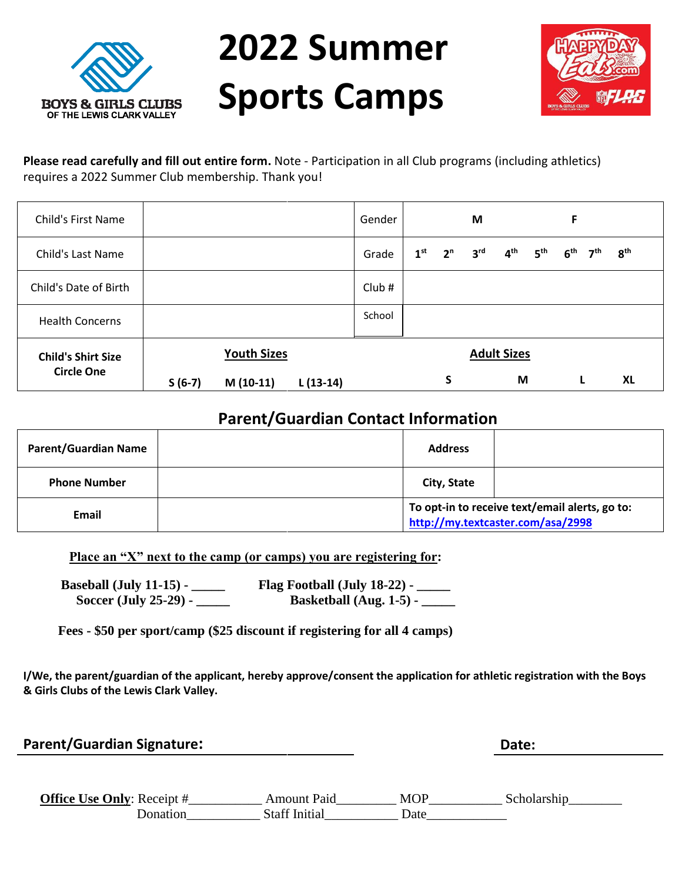

**2022 Summer Sports Camps**



**Please read carefully and fill out entire form.** Note - Participation in all Club programs (including athletics) requires a 2022 Summer Club membership. Thank you!

| <b>Child's First Name</b>                      |          |                                  |            | Gender |                 |                | M               |                         |                 | F               |                 |                 |
|------------------------------------------------|----------|----------------------------------|------------|--------|-----------------|----------------|-----------------|-------------------------|-----------------|-----------------|-----------------|-----------------|
| <b>Child's Last Name</b>                       |          |                                  |            | Grade  | 1 <sup>st</sup> | 2 <sup>n</sup> | 3 <sup>rd</sup> | 4 <sup>th</sup>         | 5 <sup>th</sup> | 6 <sup>th</sup> | 7 <sup>th</sup> | 8 <sup>th</sup> |
| Child's Date of Birth                          |          |                                  |            | Club#  |                 |                |                 |                         |                 |                 |                 |                 |
| <b>Health Concerns</b>                         |          |                                  |            | School |                 |                |                 |                         |                 |                 |                 |                 |
| <b>Child's Shirt Size</b><br><b>Circle One</b> | $S(6-7)$ | <b>Youth Sizes</b><br>$M(10-11)$ | $L(13-14)$ |        |                 | S              |                 | <b>Adult Sizes</b><br>M |                 |                 | L               | XL              |

#### **Parent/Guardian Contact Information**

| <b>Parent/Guardian Name</b> | <b>Address</b>                                                                      |  |  |  |  |
|-----------------------------|-------------------------------------------------------------------------------------|--|--|--|--|
| <b>Phone Number</b>         | City, State                                                                         |  |  |  |  |
| Email                       | To opt-in to receive text/email alerts, go to:<br>http://my.textcaster.com/asa/2998 |  |  |  |  |

**Place an "X" next to the camp (or camps) you are registering for:**

**Baseball (July 11-15) - \_\_\_\_\_ Flag Football (July 18-22) - \_\_\_\_\_ Soccer (July 25-29) - \_\_\_\_\_ Basketball (Aug. 1-5) - \_\_\_\_\_** 

**Fees - \$50 per sport/camp (\$25 discount if registering for all 4 camps)**

**I/We, the parent/guardian of the applicant, hereby approve/consent the application for athletic registration with the Boys & Girls Clubs of the Lewis Clark Valley.** 

#### **Parent/Guardian Signature: Date:**

| <b>Office Use Only: Receipt #</b> | Amount Paid          | <b>MOP</b> |  |
|-----------------------------------|----------------------|------------|--|
|                                   | <b>Staff Initial</b> | )ate       |  |